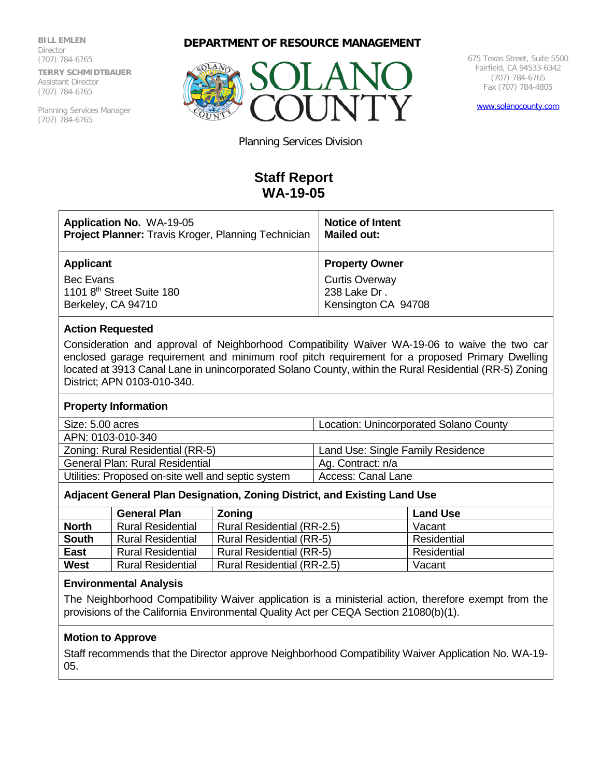**BILL EMLEN Director** (707) 784-6765 **TERRY SCHMIDTBAUER** Assistant Director (707) 784-6765

Planning Services Manager (707) 784-6765





675 Texas Street, Suite 5500 Fairfield, CA 94533-6342 (707) 784-6765 Fax (707) 784-4805

[www.solanocounty.com](http://www.solanocounty.com/)

Planning Services Division

# **Staff Report WA-19-05**

| <b>Application No. WA-19-05</b>                     | <b>Notice of Intent</b> |  |
|-----------------------------------------------------|-------------------------|--|
| Project Planner: Travis Kroger, Planning Technician | <b>Mailed out:</b>      |  |
| <b>Applicant</b>                                    | <b>Property Owner</b>   |  |
| Bec Evans                                           | <b>Curtis Overway</b>   |  |
| 1101 8 <sup>th</sup> Street Suite 180               | 238 Lake Dr.            |  |
| Berkeley, CA 94710                                  | Kensington CA 94708     |  |

## **Action Requested**

Consideration and approval of Neighborhood Compatibility Waiver WA-19-06 to waive the two car enclosed garage requirement and minimum roof pitch requirement for a proposed Primary Dwelling located at 3913 Canal Lane in unincorporated Solano County, within the Rural Residential (RR-5) Zoning District; APN 0103-010-340.

### **Property Information**

| Size: 5.00 acres<br>Location: Unincorporated Solano County |                                   |
|------------------------------------------------------------|-----------------------------------|
| APN: 0103-010-340                                          |                                   |
| Zoning: Rural Residential (RR-5)                           | Land Use: Single Family Residence |

| <b>LUITIING.</b> NUIDI NESIUEITUDI (NN-0)          | $\overline{a}$ Larig Ose. Single Farility Residence |
|----------------------------------------------------|-----------------------------------------------------|
| <b>General Plan: Rural Residential</b>             | Ag. Contract: n/a                                   |
| Utilities: Proposed on-site well and septic system | Access: Canal Lane                                  |

### **Adjacent General Plan Designation, Zoning District, and Existing Land Use**

|              | <b>General Plan</b>      | Zoning                          | <b>Land Use</b> |
|--------------|--------------------------|---------------------------------|-----------------|
| <b>North</b> | <b>Rural Residential</b> | Rural Residential (RR-2.5)      | Vacant          |
| <b>South</b> | <b>Rural Residential</b> | <b>Rural Residential (RR-5)</b> | Residential     |
| East         | <b>Rural Residential</b> | <b>Rural Residential (RR-5)</b> | Residential     |
| <b>West</b>  | <b>Rural Residential</b> | Rural Residential (RR-2.5)      | Vacant          |

## **Environmental Analysis**

The Neighborhood Compatibility Waiver application is a ministerial action, therefore exempt from the provisions of the California Environmental Quality Act per CEQA Section 21080(b)(1).

## **Motion to Approve**

Staff recommends that the Director approve Neighborhood Compatibility Waiver Application No. WA-19- 05.